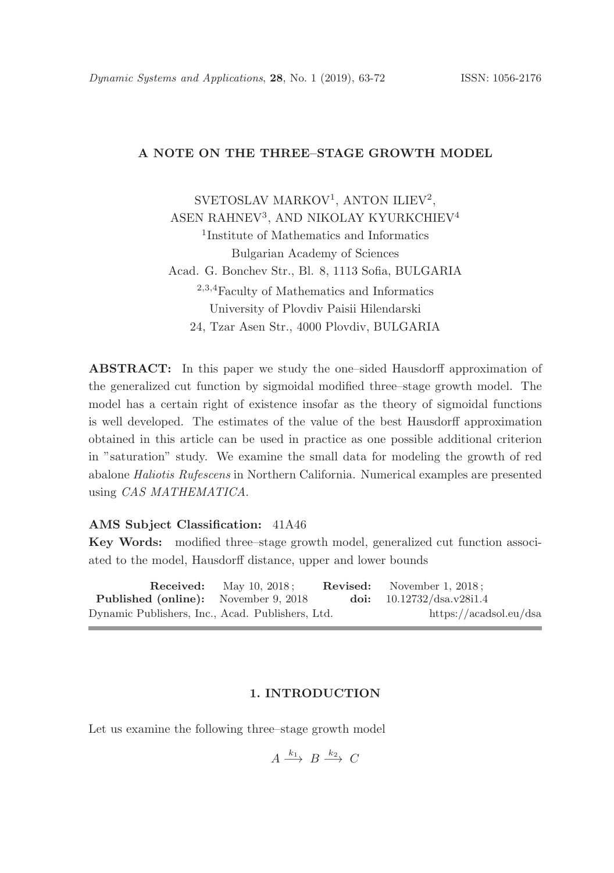# A NOTE ON THE THREE–STAGE GROWTH MODEL

SVETOSLAV MARKOV<sup>1</sup>, ANTON ILIEV<sup>2</sup>, ASEN RAHNEV<sup>3</sup>, AND NIKOLAY KYURKCHIEV<sup>4</sup> 1 Institute of Mathematics and Informatics Bulgarian Academy of Sciences Acad. G. Bonchev Str., Bl. 8, 1113 Sofia, BULGARIA <sup>2</sup>,3,<sup>4</sup>Faculty of Mathematics and Informatics University of Plovdiv Paisii Hilendarski 24, Tzar Asen Str., 4000 Plovdiv, BULGARIA

ABSTRACT: In this paper we study the one–sided Hausdorff approximation of the generalized cut function by sigmoidal modified three–stage growth model. The model has a certain right of existence insofar as the theory of sigmoidal functions is well developed. The estimates of the value of the best Hausdorff approximation obtained in this article can be used in practice as one possible additional criterion in "saturation" study. We examine the small data for modeling the growth of red abalone Haliotis Rufescens in Northern California. Numerical examples are presented using CAS MATHEMATICA.

### AMS Subject Classification: 41A46

Key Words: modified three–stage growth model, generalized cut function associated to the model, Hausdorff distance, upper and lower bounds

**Received:** May 10, 2018; **Revised:** November 1, 2018;<br>**1 (online):** November 9, 2018 **doi:** 10.12732/dsa.v28i1.4 Published (online): November 9, 2018 doi: 10.12732/dsa.v28i1.4 Dynamic Publishers, Inc., Acad. Publishers, Ltd. https://acadsol.eu/dsa

### 1. INTRODUCTION

Let us examine the following three–stage growth model

$$
A \xrightarrow{k_1} B \xrightarrow{k_2} C
$$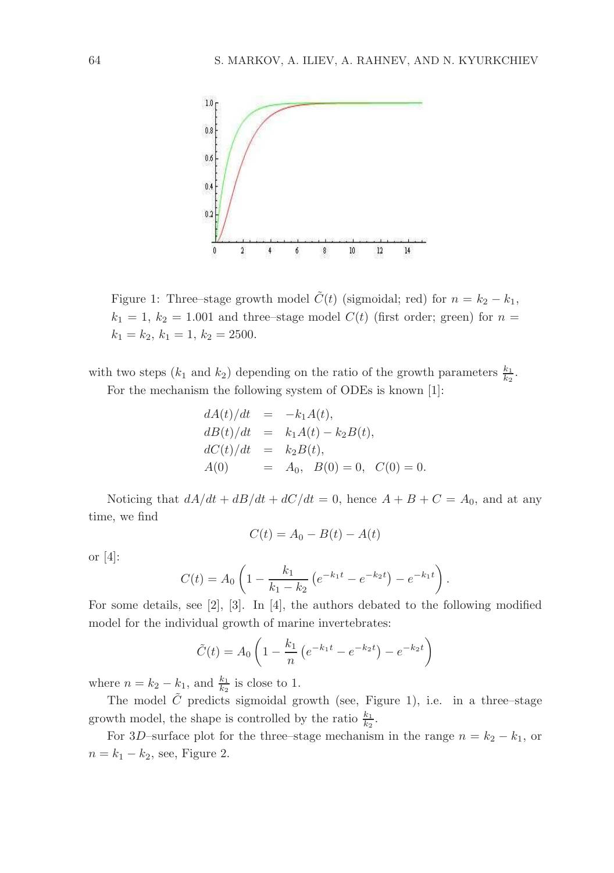

Figure 1: Three–stage growth model  $\tilde{C}(t)$  (sigmoidal; red) for  $n = k_2 - k_1$ ,  $k_1 = 1, k_2 = 1.001$  and three–stage model  $C(t)$  (first order; green) for  $n =$  $k_1 = k_2, k_1 = 1, k_2 = 2500.$ 

with two steps  $(k_1 \text{ and } k_2)$  depending on the ratio of the growth parameters  $\frac{k_1}{k_2}$ .

For the mechanism the following system of ODEs is known [1]:

$$
dA(t)/dt = -k_1 A(t),
$$
  
\n
$$
dB(t)/dt = k_1 A(t) - k_2 B(t),
$$
  
\n
$$
dC(t)/dt = k_2 B(t),
$$
  
\n
$$
A(0) = A_0, B(0) = 0, C(0) = 0.
$$

Noticing that  $dA/dt + dB/dt + dC/dt = 0$ , hence  $A + B + C = A_0$ , and at any time, we find

$$
C(t) = A_0 - B(t) - A(t)
$$

or [4]:

$$
C(t) = A_0 \left( 1 - \frac{k_1}{k_1 - k_2} \left( e^{-k_1 t} - e^{-k_2 t} \right) - e^{-k_1 t} \right).
$$

For some details, see [2], [3]. In [4], the authors debated to the following modified model for the individual growth of marine invertebrates:

$$
\tilde{C}(t) = A_0 \left( 1 - \frac{k_1}{n} \left( e^{-k_1 t} - e^{-k_2 t} \right) - e^{-k_2 t} \right)
$$

where  $n = k_2 - k_1$ , and  $\frac{k_1}{k_2}$  is close to 1.

The model  $\tilde{C}$  predicts sigmoidal growth (see, Figure 1), i.e. in a three–stage growth model, the shape is controlled by the ratio  $\frac{k_1}{k_2}$ .

For 3D–surface plot for the three–stage mechanism in the range  $n = k_2 - k_1$ , or  $n = k_1 - k_2$ , see, Figure 2.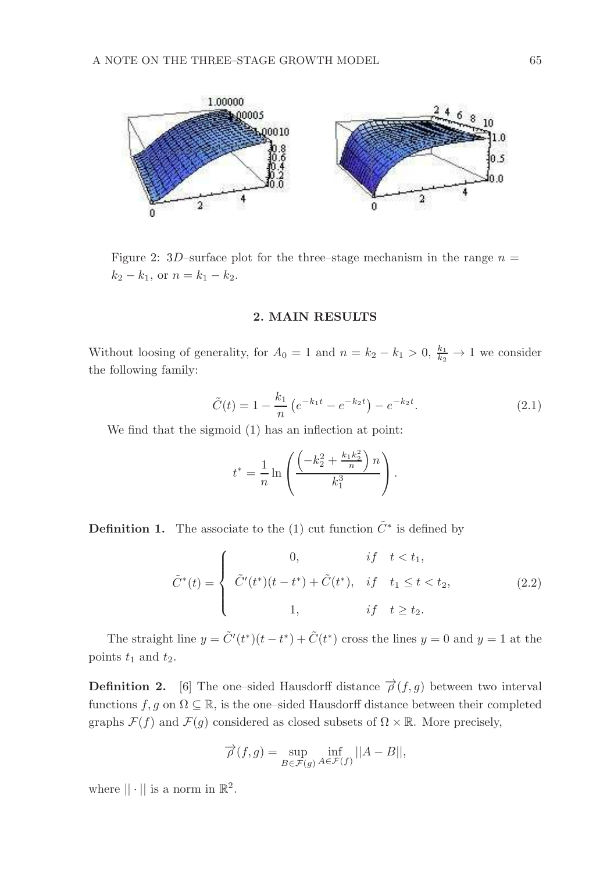

Figure 2: 3D–surface plot for the three–stage mechanism in the range  $n =$  $k_2 - k_1$ , or  $n = k_1 - k_2$ .

### 2. MAIN RESULTS

Without loosing of generality, for  $A_0 = 1$  and  $n = k_2 - k_1 > 0$ ,  $\frac{k_1}{k_2} \rightarrow 1$  we consider the following family:

$$
\tilde{C}(t) = 1 - \frac{k_1}{n} \left( e^{-k_1 t} - e^{-k_2 t} \right) - e^{-k_2 t}.
$$
\n(2.1)

We find that the sigmoid (1) has an inflection at point:

$$
t^* = \frac{1}{n} \ln \left( \frac{\left( -k_2^2 + \frac{k_1 k_2^2}{n} \right) n}{k_1^3} \right).
$$

**Definition 1.** The associate to the (1) cut function  $\tilde{C}^*$  is defined by

$$
\tilde{C}^*(t) = \begin{cases}\n0, & if \quad t < t_1, \\
\tilde{C}'(t^*)(t - t^*) + \tilde{C}(t^*), & if \quad t_1 \le t < t_2, \\
1, & if \quad t \ge t_2.\n\end{cases}
$$
\n(2.2)

The straight line  $y = \tilde{C}'(t^*)(t - t^*) + \tilde{C}(t^*)$  cross the lines  $y = 0$  and  $y = 1$  at the points  $t_1$  and  $t_2$ .

**Definition 2.** [6] The one–sided Hausdorff distance  $\overrightarrow{\rho}(f,g)$  between two interval functions  $f, g$  on  $\Omega \subseteq \mathbb{R}$ , is the one–sided Hausdorff distance between their completed graphs  $\mathcal{F}(f)$  and  $\mathcal{F}(g)$  considered as closed subsets of  $\Omega \times \mathbb{R}$ . More precisely,

$$
\overrightarrow{\rho}(f,g) = \sup_{B \in \mathcal{F}(g)} \inf_{A \in \mathcal{F}(f)} ||A - B||,
$$

where  $|| \cdot ||$  is a norm in  $\mathbb{R}^2$ .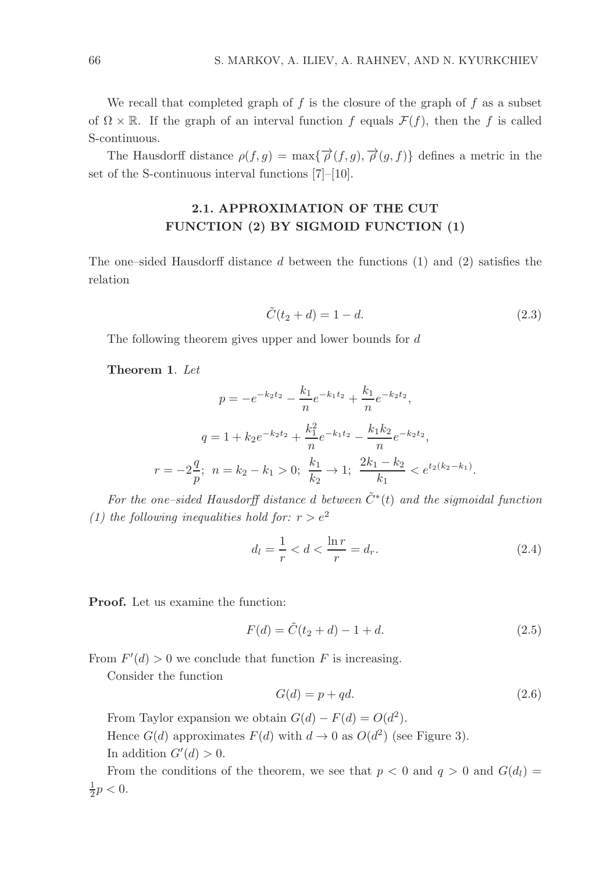We recall that completed graph of  $f$  is the closure of the graph of  $f$  as a subset of  $\Omega \times \mathbb{R}$ . If the graph of an interval function f equals  $\mathcal{F}(f)$ , then the f is called S-continuous.

The Hausdorff distance  $\rho(f,g) = \max{\{\overrightarrow{\rho}(f,g), \overrightarrow{\rho}(g,f)\}}$  defines a metric in the set of the S-continuous interval functions [7]–[10].

# 2.1. APPROXIMATION OF THE CUT FUNCTION (2) BY SIGMOID FUNCTION (1)

The one–sided Hausdorff distance  $d$  between the functions  $(1)$  and  $(2)$  satisfies the relation

$$
\tilde{C}(t_2 + d) = 1 - d.\t(2.3)
$$

The following theorem gives upper and lower bounds for d

Theorem 1. Let

$$
p = -e^{-k_2 t_2} - \frac{k_1}{n} e^{-k_1 t_2} + \frac{k_1}{n} e^{-k_2 t_2},
$$
  

$$
q = 1 + k_2 e^{-k_2 t_2} + \frac{k_1^2}{n} e^{-k_1 t_2} - \frac{k_1 k_2}{n} e^{-k_2 t_2},
$$
  

$$
r = -2\frac{q}{p}; \ n = k_2 - k_1 > 0; \ \frac{k_1}{k_2} \to 1; \ \frac{2k_1 - k_2}{k_1} < e^{t_2(k_2 - k_1)}.
$$

For the one–sided Hausdorff distance d between  $\tilde{C}^*(t)$  and the sigmoidal function (1) the following inequalities hold for:  $r > e^2$ 

$$
d_l = \frac{1}{r} < d < \frac{\ln r}{r} = d_r. \tag{2.4}
$$

Proof. Let us examine the function:

$$
F(d) = \tilde{C}(t_2 + d) - 1 + d.
$$
\n(2.5)

From  $F'(d) > 0$  we conclude that function F is increasing.

Consider the function

$$
G(d) = p + qd.\t\t(2.6)
$$

From Taylor expansion we obtain  $G(d) - F(d) = O(d^2)$ .

Hence  $G(d)$  approximates  $F(d)$  with  $d \to 0$  as  $O(d^2)$  (see Figure 3). In addition  $G'(d) > 0$ .

From the conditions of the theorem, we see that  $p < 0$  and  $q > 0$  and  $G(d_l) =$  $\frac{1}{2}p < 0.$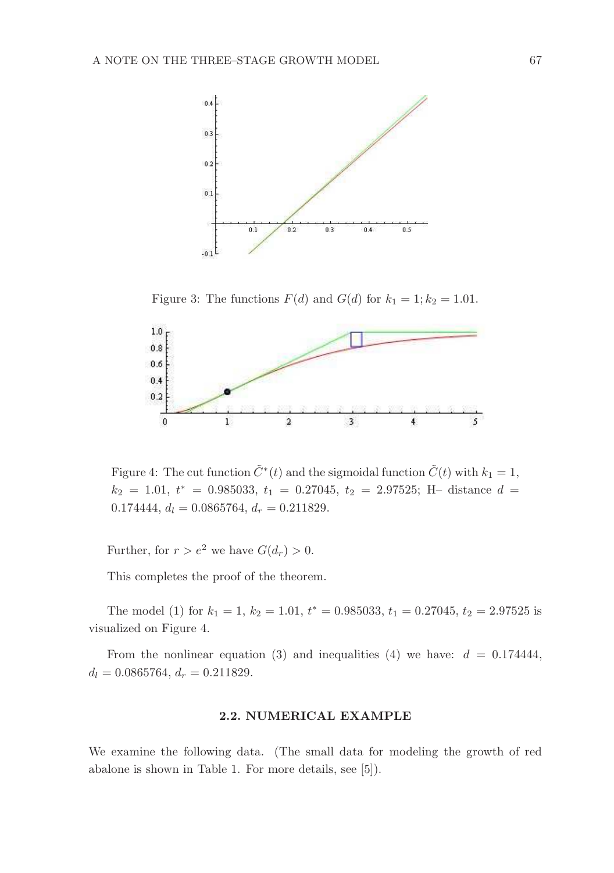

Figure 3: The functions  $F(d)$  and  $G(d)$  for  $k_1 = 1; k_2 = 1.01$ .



Figure 4: The cut function  $\tilde{C}^*(t)$  and the sigmoidal function  $\tilde{C}(t)$  with  $k_1 = 1$ ,  $k_2 = 1.01$ ,  $t^* = 0.985033$ ,  $t_1 = 0.27045$ ,  $t_2 = 2.97525$ ; H- distance  $d =$ 0.174444,  $d_l = 0.0865764$ ,  $d_r = 0.211829$ .

Further, for  $r > e^2$  we have  $G(d_r) > 0$ .

This completes the proof of the theorem.

The model (1) for  $k_1 = 1$ ,  $k_2 = 1.01$ ,  $t^* = 0.985033$ ,  $t_1 = 0.27045$ ,  $t_2 = 2.97525$  is visualized on Figure 4.

From the nonlinear equation (3) and inequalities (4) we have:  $d = 0.174444$ ,  $d_l = 0.0865764, d_r = 0.211829.$ 

### 2.2. NUMERICAL EXAMPLE

We examine the following data. (The small data for modeling the growth of red abalone is shown in Table 1. For more details, see [5]).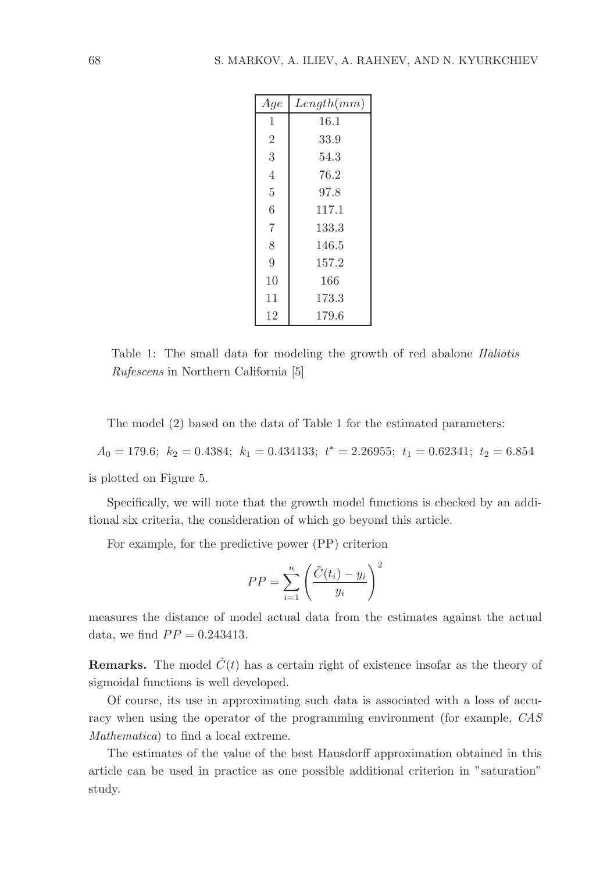| Aqe            | Length(mm) |
|----------------|------------|
| 1              | 16.1       |
| $\overline{2}$ | 33.9       |
| 3              | 54.3       |
| $\overline{4}$ | 76.2       |
| 5              | 97.8       |
| 6              | 117.1      |
| $\overline{7}$ | 133.3      |
| 8              | 146.5      |
| 9              | 157.2      |
| 10             | 166        |
| 11             | 173.3      |
| 12             | 179.6      |

Table 1: The small data for modeling the growth of red abalone Haliotis Rufescens in Northern California [5]

The model (2) based on the data of Table 1 for the estimated parameters:

 $A_0 = 179.6; k_2 = 0.4384; k_1 = 0.434133; t^* = 2.26955; t_1 = 0.62341; t_2 = 6.854$ 

is plotted on Figure 5.

Specifically, we will note that the growth model functions is checked by an additional six criteria, the consideration of which go beyond this article.

For example, for the predictive power (PP) criterion

$$
PP = \sum_{i=1}^{n} \left( \frac{\tilde{C}(t_i) - y_i}{y_i} \right)^2
$$

measures the distance of model actual data from the estimates against the actual data, we find  $PP = 0.243413$ .

**Remarks.** The model  $\tilde{C}(t)$  has a certain right of existence insofar as the theory of sigmoidal functions is well developed.

Of course, its use in approximating such data is associated with a loss of accuracy when using the operator of the programming environment (for example, CAS Mathematica) to find a local extreme.

The estimates of the value of the best Hausdorff approximation obtained in this article can be used in practice as one possible additional criterion in "saturation" study.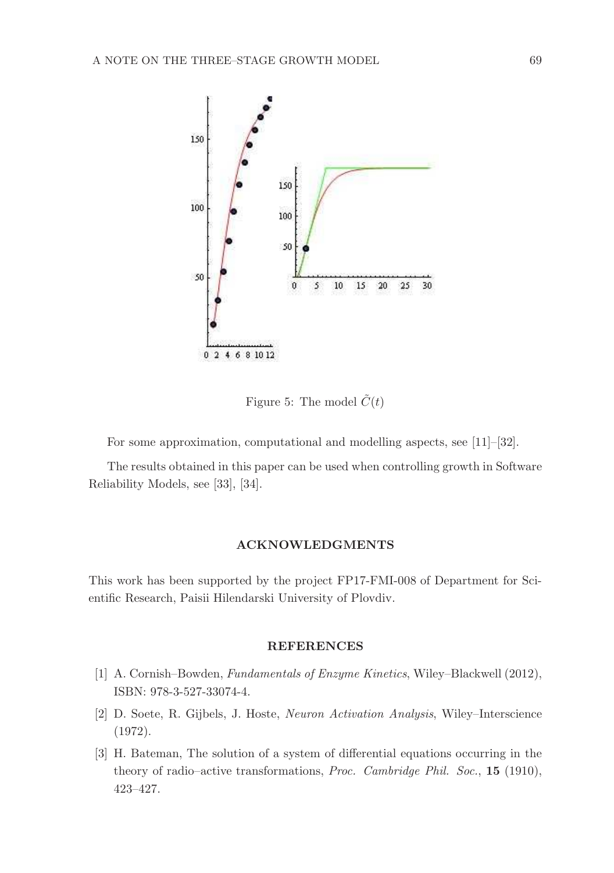

Figure 5: The model  $\tilde{C}(t)$ 

For some approximation, computational and modelling aspects, see [11]–[32].

The results obtained in this paper can be used when controlling growth in Software Reliability Models, see [33], [34].

## ACKNOWLEDGMENTS

This work has been supported by the project FP17-FMI-008 of Department for Scientific Research, Paisii Hilendarski University of Plovdiv.

### **REFERENCES**

- [1] A. Cornish–Bowden, Fundamentals of Enzyme Kinetics, Wiley–Blackwell (2012), ISBN: 978-3-527-33074-4.
- [2] D. Soete, R. Gijbels, J. Hoste, Neuron Activation Analysis, Wiley–Interscience (1972).
- [3] H. Bateman, The solution of a system of differential equations occurring in the theory of radio–active transformations, Proc. Cambridge Phil. Soc., 15 (1910), 423–427.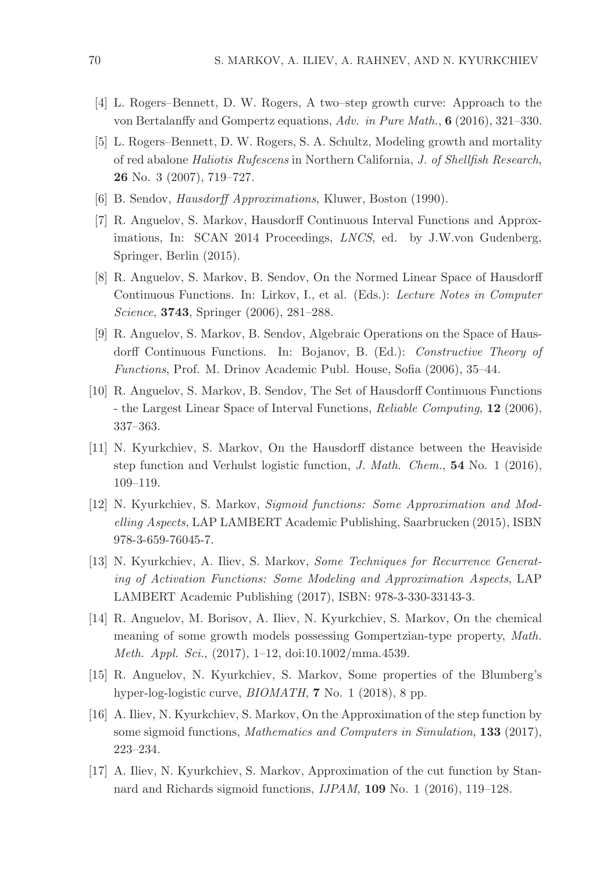- [4] L. Rogers–Bennett, D. W. Rogers, A two–step growth curve: Approach to the von Bertalanffy and Gompertz equations, Adv. in Pure Math., 6 (2016), 321–330.
- [5] L. Rogers–Bennett, D. W. Rogers, S. A. Schultz, Modeling growth and mortality of red abalone Haliotis Rufescens in Northern California, J. of Shellfish Research, 26 No. 3 (2007), 719–727.
- [6] B. Sendov, Hausdorff Approximations, Kluwer, Boston (1990).
- [7] R. Anguelov, S. Markov, Hausdorff Continuous Interval Functions and Approximations, In: SCAN 2014 Proceedings, LNCS, ed. by J.W.von Gudenberg, Springer, Berlin (2015).
- [8] R. Anguelov, S. Markov, B. Sendov, On the Normed Linear Space of Hausdorff Continuous Functions. In: Lirkov, I., et al. (Eds.): Lecture Notes in Computer Science, 3743, Springer (2006), 281–288.
- [9] R. Anguelov, S. Markov, B. Sendov, Algebraic Operations on the Space of Hausdorff Continuous Functions. In: Bojanov, B. (Ed.): Constructive Theory of Functions, Prof. M. Drinov Academic Publ. House, Sofia (2006), 35–44.
- [10] R. Anguelov, S. Markov, B. Sendov, The Set of Hausdorff Continuous Functions - the Largest Linear Space of Interval Functions, Reliable Computing, 12 (2006), 337–363.
- [11] N. Kyurkchiev, S. Markov, On the Hausdorff distance between the Heaviside step function and Verhulst logistic function, J. Math. Chem., 54 No. 1 (2016), 109–119.
- [12] N. Kyurkchiev, S. Markov, Sigmoid functions: Some Approximation and Modelling Aspects, LAP LAMBERT Academic Publishing, Saarbrucken (2015), ISBN 978-3-659-76045-7.
- [13] N. Kyurkchiev, A. Iliev, S. Markov, Some Techniques for Recurrence Generating of Activation Functions: Some Modeling and Approximation Aspects, LAP LAMBERT Academic Publishing (2017), ISBN: 978-3-330-33143-3.
- [14] R. Anguelov, M. Borisov, A. Iliev, N. Kyurkchiev, S. Markov, On the chemical meaning of some growth models possessing Gompertzian-type property, Math. Meth. Appl. Sci., (2017), 1–12, doi:10.1002/mma.4539.
- [15] R. Anguelov, N. Kyurkchiev, S. Markov, Some properties of the Blumberg's hyper-log-logistic curve, *BIOMATH*, **7** No. 1 (2018), 8 pp.
- [16] A. Iliev, N. Kyurkchiev, S. Markov, On the Approximation of the step function by some sigmoid functions, Mathematics and Computers in Simulation, 133 (2017), 223–234.
- [17] A. Iliev, N. Kyurkchiev, S. Markov, Approximation of the cut function by Stannard and Richards sigmoid functions, IJPAM, 109 No. 1 (2016), 119–128.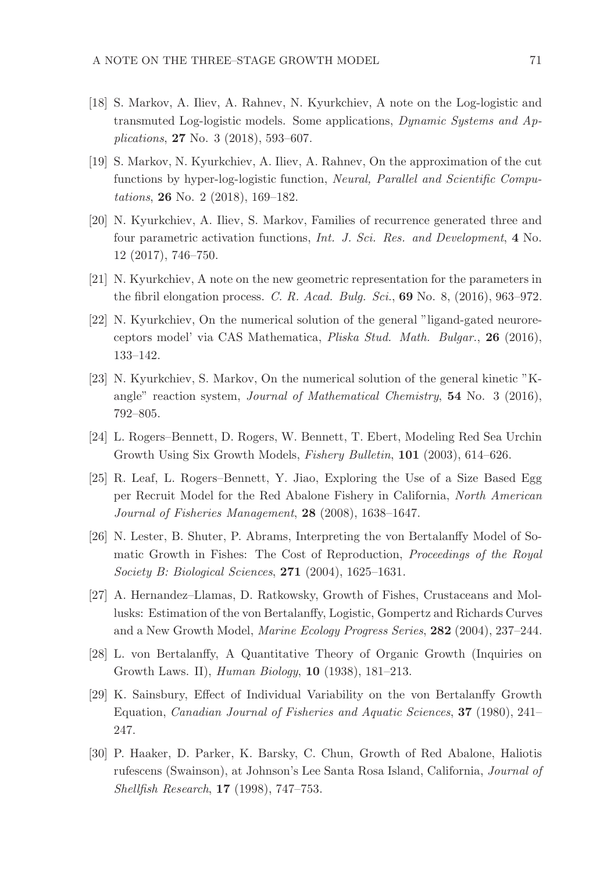- [18] S. Markov, A. Iliev, A. Rahnev, N. Kyurkchiev, A note on the Log-logistic and transmuted Log-logistic models. Some applications, Dynamic Systems and Applications, 27 No. 3 (2018), 593–607.
- [19] S. Markov, N. Kyurkchiev, A. Iliev, A. Rahnev, On the approximation of the cut functions by hyper-log-logistic function, Neural, Parallel and Scientific Computations, 26 No. 2 (2018), 169–182.
- [20] N. Kyurkchiev, A. Iliev, S. Markov, Families of recurrence generated three and four parametric activation functions, Int. J. Sci. Res. and Development, 4 No. 12 (2017), 746–750.
- [21] N. Kyurkchiev, A note on the new geometric representation for the parameters in the fibril elongation process. C. R. Acad. Bulg. Sci., 69 No. 8,  $(2016)$ , 963–972.
- [22] N. Kyurkchiev, On the numerical solution of the general "ligand-gated neuroreceptors model' via CAS Mathematica, Pliska Stud. Math. Bulgar., 26 (2016), 133–142.
- [23] N. Kyurkchiev, S. Markov, On the numerical solution of the general kinetic "Kangle" reaction system, Journal of Mathematical Chemistry,  $54$  No. 3 (2016), 792–805.
- [24] L. Rogers–Bennett, D. Rogers, W. Bennett, T. Ebert, Modeling Red Sea Urchin Growth Using Six Growth Models, Fishery Bulletin, 101 (2003), 614–626.
- [25] R. Leaf, L. Rogers–Bennett, Y. Jiao, Exploring the Use of a Size Based Egg per Recruit Model for the Red Abalone Fishery in California, North American Journal of Fisheries Management, 28 (2008), 1638–1647.
- [26] N. Lester, B. Shuter, P. Abrams, Interpreting the von Bertalanffy Model of Somatic Growth in Fishes: The Cost of Reproduction, Proceedings of the Royal Society B: Biological Sciences, 271 (2004), 1625–1631.
- [27] A. Hernandez–Llamas, D. Ratkowsky, Growth of Fishes, Crustaceans and Mollusks: Estimation of the von Bertalanffy, Logistic, Gompertz and Richards Curves and a New Growth Model, Marine Ecology Progress Series, 282 (2004), 237–244.
- [28] L. von Bertalanffy, A Quantitative Theory of Organic Growth (Inquiries on Growth Laws. II), Human Biology, 10 (1938), 181–213.
- [29] K. Sainsbury, Effect of Individual Variability on the von Bertalanffy Growth Equation, Canadian Journal of Fisheries and Aquatic Sciences, 37 (1980), 241– 247.
- [30] P. Haaker, D. Parker, K. Barsky, C. Chun, Growth of Red Abalone, Haliotis rufescens (Swainson), at Johnson's Lee Santa Rosa Island, California, Journal of Shellfish Research, 17 (1998), 747–753.